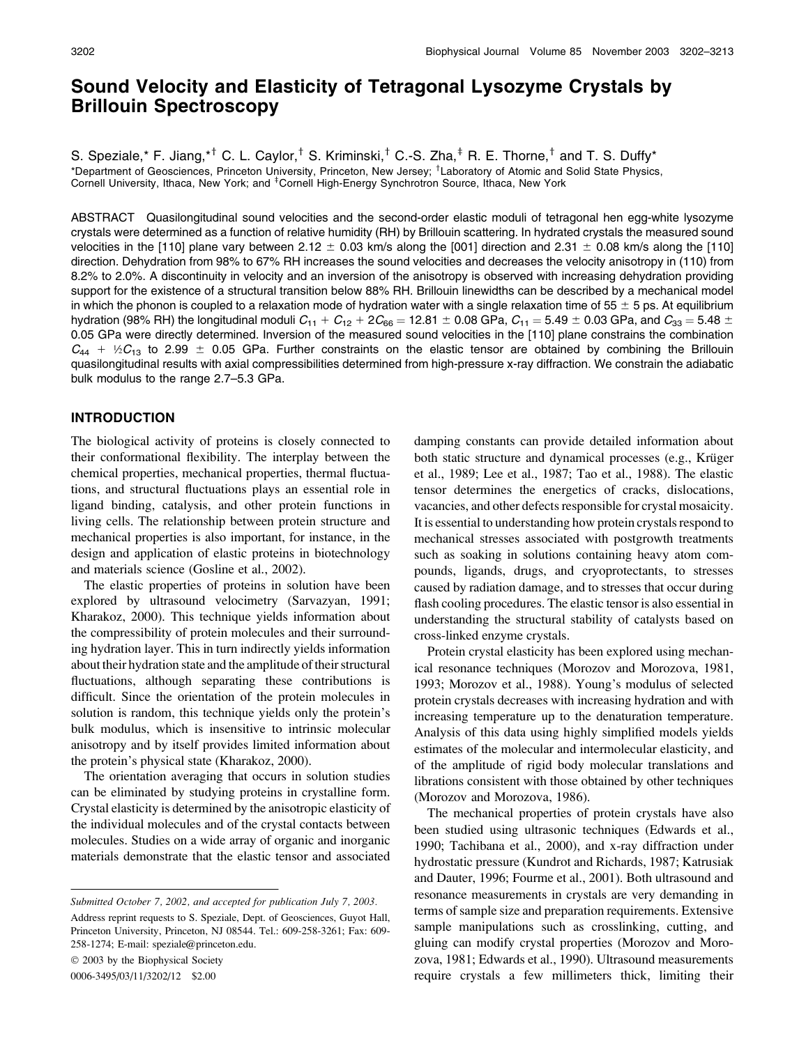# Sound Velocity and Elasticity of Tetragonal Lysozyme Crystals by Brillouin Spectroscopy

S. Speziale,\* F. Jiang,\*<sup>†</sup> C. L. Caylor,<sup>†</sup> S. Kriminski,<sup>†</sup> C.-S. Zha,<sup>‡</sup> R. E. Thorne,<sup>†</sup> and T. S. Duffy\* \*Department of Geosciences, Princeton University, Princeton, New Jersey; <sup>†</sup>Laboratory of Atomic and Solid State Physics, Cornell University, Ithaca, New York; and <sup>‡</sup>Cornell High-Energy Synchrotron Source, Ithaca, New York

ABSTRACT Quasilongitudinal sound velocities and the second-order elastic moduli of tetragonal hen egg-white lysozyme crystals were determined as a function of relative humidity (RH) by Brillouin scattering. In hydrated crystals the measured sound velocities in the [110] plane vary between 2.12  $\pm$  0.03 km/s along the [001] direction and 2.31  $\pm$  0.08 km/s along the [110] direction. Dehydration from 98% to 67% RH increases the sound velocities and decreases the velocity anisotropy in (110) from 8.2% to 2.0%. A discontinuity in velocity and an inversion of the anisotropy is observed with increasing dehydration providing support for the existence of a structural transition below 88% RH. Brillouin linewidths can be described by a mechanical model in which the phonon is coupled to a relaxation mode of hydration water with a single relaxation time of 55  $\pm$  5 ps. At equilibrium hydration (98% RH) the longitudinal moduli  $C_{11} + C_{12} + 2C_{66} = 12.81 \pm 0.08$  GPa,  $C_{11} = 5.49 \pm 0.03$  GPa, and  $C_{33} = 5.48 \pm 0.03$ 0.05 GPa were directly determined. Inversion of the measured sound velocities in the [110] plane constrains the combination  $C_{44}$  + ½ $C_{13}$  to 2.99  $\pm$  0.05 GPa. Further constraints on the elastic tensor are obtained by combining the Brillouin quasilongitudinal results with axial compressibilities determined from high-pressure x-ray diffraction. We constrain the adiabatic bulk modulus to the range 2.7–5.3 GPa.

### INTRODUCTION

The biological activity of proteins is closely connected to their conformational flexibility. The interplay between the chemical properties, mechanical properties, thermal fluctuations, and structural fluctuations plays an essential role in ligand binding, catalysis, and other protein functions in living cells. The relationship between protein structure and mechanical properties is also important, for instance, in the design and application of elastic proteins in biotechnology and materials science (Gosline et al., 2002).

The elastic properties of proteins in solution have been explored by ultrasound velocimetry (Sarvazyan, 1991; Kharakoz, 2000). This technique yields information about the compressibility of protein molecules and their surrounding hydration layer. This in turn indirectly yields information about their hydration state and the amplitude of their structural fluctuations, although separating these contributions is difficult. Since the orientation of the protein molecules in solution is random, this technique yields only the protein's bulk modulus, which is insensitive to intrinsic molecular anisotropy and by itself provides limited information about the protein's physical state (Kharakoz, 2000).

The orientation averaging that occurs in solution studies can be eliminated by studying proteins in crystalline form. Crystal elasticity is determined by the anisotropic elasticity of the individual molecules and of the crystal contacts between molecules. Studies on a wide array of organic and inorganic materials demonstrate that the elastic tensor and associated

Submitted October 7, 2002, and accepted for publication July 7, 2003. Address reprint requests to S. Speziale, Dept. of Geosciences, Guyot Hall, Princeton University, Princeton, NJ 08544. Tel.: 609-258-3261; Fax: 609- 258-1274; E-mail: speziale@princeton.edu.

2003 by the Biophysical Society

0006-3495/03/11/3202/12 \$2.00

damping constants can provide detailed information about both static structure and dynamical processes (e.g., Krüger et al., 1989; Lee et al., 1987; Tao et al., 1988). The elastic tensor determines the energetics of cracks, dislocations, vacancies, and other defects responsible for crystal mosaicity. It is essential to understanding how protein crystals respond to mechanical stresses associated with postgrowth treatments such as soaking in solutions containing heavy atom compounds, ligands, drugs, and cryoprotectants, to stresses caused by radiation damage, and to stresses that occur during flash cooling procedures. The elastic tensor is also essential in understanding the structural stability of catalysts based on cross-linked enzyme crystals.

Protein crystal elasticity has been explored using mechanical resonance techniques (Morozov and Morozova, 1981, 1993; Morozov et al., 1988). Young's modulus of selected protein crystals decreases with increasing hydration and with increasing temperature up to the denaturation temperature. Analysis of this data using highly simplified models yields estimates of the molecular and intermolecular elasticity, and of the amplitude of rigid body molecular translations and librations consistent with those obtained by other techniques (Morozov and Morozova, 1986).

The mechanical properties of protein crystals have also been studied using ultrasonic techniques (Edwards et al., 1990; Tachibana et al., 2000), and x-ray diffraction under hydrostatic pressure (Kundrot and Richards, 1987; Katrusiak and Dauter, 1996; Fourme et al., 2001). Both ultrasound and resonance measurements in crystals are very demanding in terms of sample size and preparation requirements. Extensive sample manipulations such as crosslinking, cutting, and gluing can modify crystal properties (Morozov and Morozova, 1981; Edwards et al., 1990). Ultrasound measurements require crystals a few millimeters thick, limiting their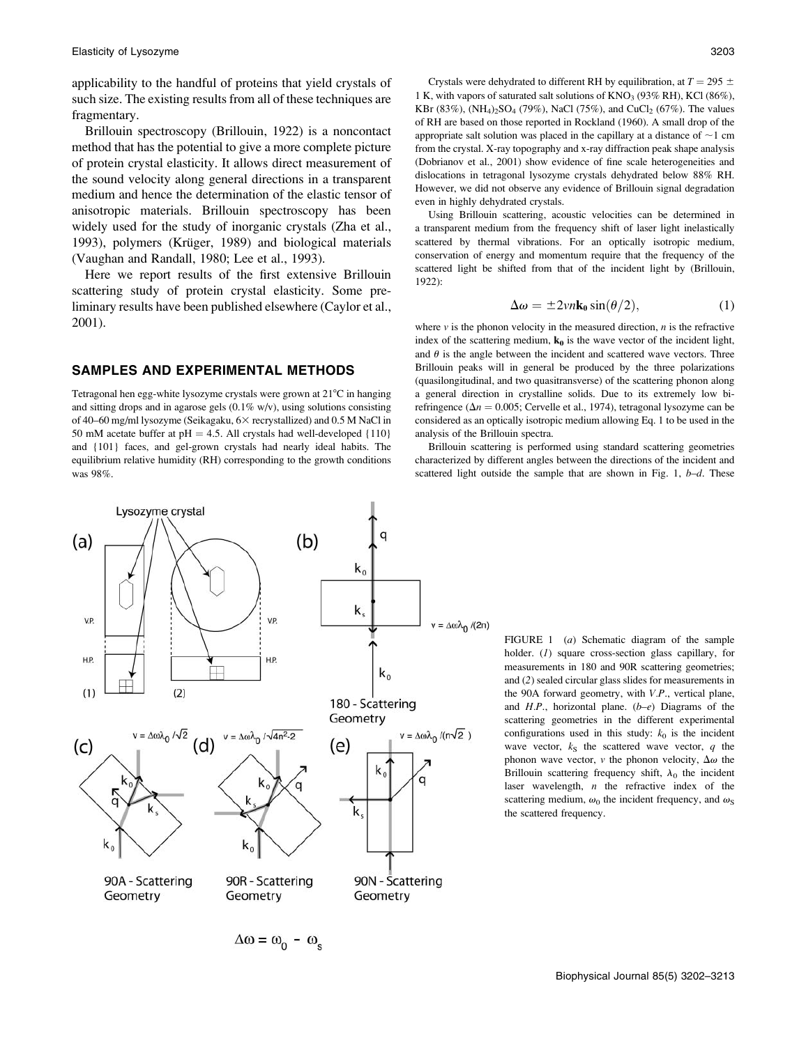applicability to the handful of proteins that yield crystals of such size. The existing results from all of these techniques are fragmentary.

Brillouin spectroscopy (Brillouin, 1922) is a noncontact method that has the potential to give a more complete picture of protein crystal elasticity. It allows direct measurement of the sound velocity along general directions in a transparent medium and hence the determination of the elastic tensor of anisotropic materials. Brillouin spectroscopy has been widely used for the study of inorganic crystals (Zha et al., 1993), polymers (Krüger, 1989) and biological materials (Vaughan and Randall, 1980; Lee et al., 1993).

Here we report results of the first extensive Brillouin scattering study of protein crystal elasticity. Some preliminary results have been published elsewhere (Caylor et al., 2001).

## SAMPLES AND EXPERIMENTAL METHODS

Tetragonal hen egg-white lysozyme crystals were grown at 21<sup>°</sup>C in hanging and sitting drops and in agarose gels  $(0.1\% \text{ w/v})$ , using solutions consisting of 40–60 mg/ml lysozyme (Seikagaku, 63 recrystallized) and 0.5 M NaCl in 50 mM acetate buffer at  $pH = 4.5$ . All crystals had well-developed {110} and {101} faces, and gel-grown crystals had nearly ideal habits. The equilibrium relative humidity (RH) corresponding to the growth conditions was 98%.

Crystals were dehydrated to different RH by equilibration, at  $T = 295 \pm$ 1 K, with vapors of saturated salt solutions of  $KNO<sub>3</sub> (93% RH)$ , KCl (86%), KBr (83%), (NH<sub>4</sub>)<sub>2</sub>SO<sub>4</sub> (79%), NaCl (75%), and CuCl<sub>2</sub> (67%). The values of RH are based on those reported in Rockland (1960). A small drop of the appropriate salt solution was placed in the capillary at a distance of  $\sim$ 1 cm from the crystal. X-ray topography and x-ray diffraction peak shape analysis (Dobrianov et al., 2001) show evidence of fine scale heterogeneities and dislocations in tetragonal lysozyme crystals dehydrated below 88% RH. However, we did not observe any evidence of Brillouin signal degradation even in highly dehydrated crystals.

Using Brillouin scattering, acoustic velocities can be determined in a transparent medium from the frequency shift of laser light inelastically scattered by thermal vibrations. For an optically isotropic medium, conservation of energy and momentum require that the frequency of the scattered light be shifted from that of the incident light by (Brillouin, 1922):

$$
\Delta \omega = \pm 2vn \mathbf{k}_0 \sin(\theta/2),\tag{1}
$$

where  $v$  is the phonon velocity in the measured direction,  $n$  is the refractive index of the scattering medium,  $k_0$  is the wave vector of the incident light, and  $\theta$  is the angle between the incident and scattered wave vectors. Three Brillouin peaks will in general be produced by the three polarizations (quasilongitudinal, and two quasitransverse) of the scattering phonon along a general direction in crystalline solids. Due to its extremely low birefringence ( $\Delta n = 0.005$ ; Cervelle et al., 1974), tetragonal lysozyme can be considered as an optically isotropic medium allowing Eq. 1 to be used in the analysis of the Brillouin spectra.

Brillouin scattering is performed using standard scattering geometries characterized by different angles between the directions of the incident and scattered light outside the sample that are shown in Fig. 1,  $b-d$ . These



 $\Delta \omega = \omega_0 - \omega_s$ 

FIGURE 1 (*a*) Schematic diagram of the sample holder. (1) square cross-section glass capillary, for measurements in 180 and 90R scattering geometries; and (2) sealed circular glass slides for measurements in the 90A forward geometry, with V.P., vertical plane, and  $H.P.,$  horizontal plane.  $(b-e)$  Diagrams of the scattering geometries in the different experimental configurations used in this study:  $k_0$  is the incident wave vector,  $k<sub>S</sub>$  the scattered wave vector, q the phonon wave vector, v the phonon velocity,  $\Delta\omega$  the Brillouin scattering frequency shift,  $\lambda_0$  the incident laser wavelength,  $n$  the refractive index of the scattering medium,  $\omega_0$  the incident frequency, and  $\omega_S$ the scattered frequency.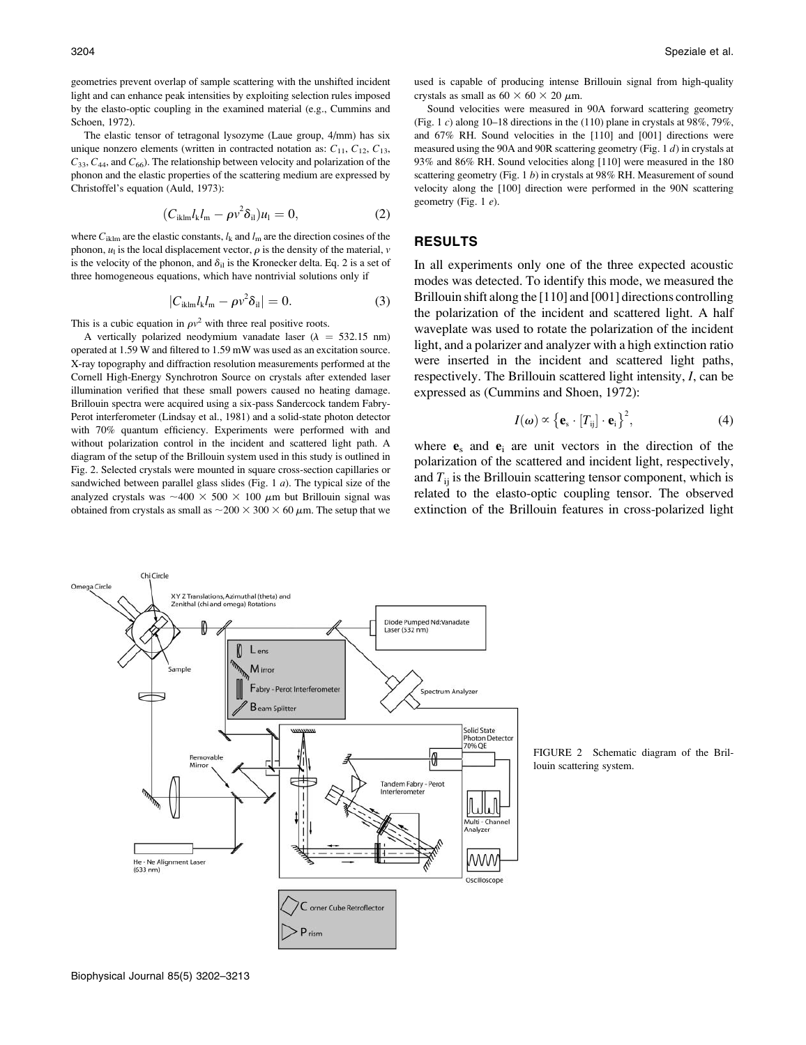geometries prevent overlap of sample scattering with the unshifted incident light and can enhance peak intensities by exploiting selection rules imposed by the elasto-optic coupling in the examined material (e.g., Cummins and Schoen, 1972).

The elastic tensor of tetragonal lysozyme (Laue group, 4/mm) has six unique nonzero elements (written in contracted notation as:  $C_{11}$ ,  $C_{12}$ ,  $C_{13}$ ,  $C_{33}$ ,  $C_{44}$ , and  $C_{66}$ ). The relationship between velocity and polarization of the phonon and the elastic properties of the scattering medium are expressed by Christoffel's equation (Auld, 1973):

$$
(C_{iklm}l_kl_m - \rho v^2 \delta_{il})u_l = 0, \qquad (2)
$$

where  $C_{iklm}$  are the elastic constants,  $l_k$  and  $l_m$  are the direction cosines of the phonon,  $u_1$  is the local displacement vector,  $\rho$  is the density of the material, v is the velocity of the phonon, and  $\delta_{il}$  is the Kronecker delta. Eq. 2 is a set of three homogeneous equations, which have nontrivial solutions only if

$$
|C_{iklm}l_k l_m - \rho v^2 \delta_{il}| = 0. \tag{3}
$$

This is a cubic equation in  $\rho v^2$  with three real positive roots.

A vertically polarized neodymium vanadate laser ( $\lambda$  = 532.15 nm) operated at 1.59 W and filtered to 1.59 mW was used as an excitation source. X-ray topography and diffraction resolution measurements performed at the Cornell High-Energy Synchrotron Source on crystals after extended laser illumination verified that these small powers caused no heating damage. Brillouin spectra were acquired using a six-pass Sandercock tandem Fabry-Perot interferometer (Lindsay et al., 1981) and a solid-state photon detector with 70% quantum efficiency. Experiments were performed with and without polarization control in the incident and scattered light path. A diagram of the setup of the Brillouin system used in this study is outlined in Fig. 2. Selected crystals were mounted in square cross-section capillaries or sandwiched between parallel glass slides (Fig.  $1 \, a$ ). The typical size of the analyzed crystals was  ${\sim}400 \times 500 \times 100 \mu$ m but Brillouin signal was obtained from crystals as small as  $\sim$  200  $\times$  300  $\times$  60  $\mu$ m. The setup that we used is capable of producing intense Brillouin signal from high-quality crystals as small as  $60 \times 60 \times 20 \mu$ m.

Sound velocities were measured in 90A forward scattering geometry (Fig. 1 c) along 10–18 directions in the  $(110)$  plane in crystals at 98%, 79%, and 67% RH. Sound velocities in the [110] and [001] directions were measured using the 90A and 90R scattering geometry (Fig. 1 d) in crystals at 93% and 86% RH. Sound velocities along [110] were measured in the 180 scattering geometry (Fig. 1 b) in crystals at 98% RH. Measurement of sound velocity along the [100] direction were performed in the 90N scattering geometry (Fig. 1 e).

#### RESULTS

In all experiments only one of the three expected acoustic modes was detected. To identify this mode, we measured the Brillouin shift along the [110] and [001] directions controlling the polarization of the incident and scattered light. A half waveplate was used to rotate the polarization of the incident light, and a polarizer and analyzer with a high extinction ratio were inserted in the incident and scattered light paths, respectively. The Brillouin scattered light intensity, I, can be expressed as (Cummins and Shoen, 1972):

$$
I(\boldsymbol{\omega}) \propto {\left\{ \mathbf{e}_{\rm s} \cdot [T_{\rm ij}] \cdot \mathbf{e}_{\rm i} \right\}}^2, \tag{4}
$$

where  $e_s$  and  $e_i$  are unit vectors in the direction of the polarization of the scattered and incident light, respectively, and  $T_{ii}$  is the Brillouin scattering tensor component, which is related to the elasto-optic coupling tensor. The observed extinction of the Brillouin features in cross-polarized light



FIGURE 2 Schematic diagram of the Brillouin scattering system.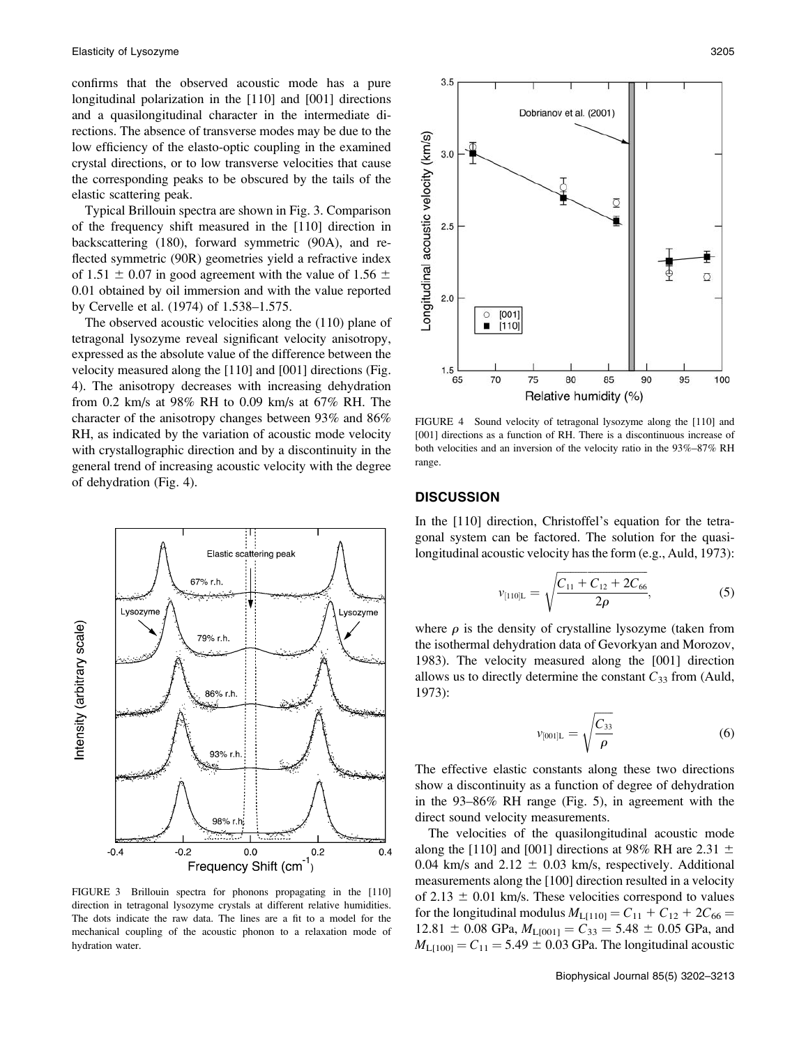confirms that the observed acoustic mode has a pure longitudinal polarization in the [110] and [001] directions and a quasilongitudinal character in the intermediate directions. The absence of transverse modes may be due to the low efficiency of the elasto-optic coupling in the examined crystal directions, or to low transverse velocities that cause the corresponding peaks to be obscured by the tails of the elastic scattering peak.

Typical Brillouin spectra are shown in Fig. 3. Comparison of the frequency shift measured in the [110] direction in backscattering (180), forward symmetric (90A), and reflected symmetric (90R) geometries yield a refractive index of 1.51  $\pm$  0.07 in good agreement with the value of 1.56  $\pm$ 0.01 obtained by oil immersion and with the value reported by Cervelle et al. (1974) of 1.538–1.575.

The observed acoustic velocities along the (110) plane of tetragonal lysozyme reveal significant velocity anisotropy, expressed as the absolute value of the difference between the velocity measured along the [110] and [001] directions (Fig. 4). The anisotropy decreases with increasing dehydration from 0.2 km/s at 98% RH to 0.09 km/s at 67% RH. The character of the anisotropy changes between 93% and 86% RH, as indicated by the variation of acoustic mode velocity with crystallographic direction and by a discontinuity in the general trend of increasing acoustic velocity with the degree of dehydration (Fig. 4).



FIGURE 3 Brillouin spectra for phonons propagating in the [110] direction in tetragonal lysozyme crystals at different relative humidities. The dots indicate the raw data. The lines are a fit to a model for the mechanical coupling of the acoustic phonon to a relaxation mode of hydration water.



FIGURE 4 Sound velocity of tetragonal lysozyme along the [110] and [001] directions as a function of RH. There is a discontinuous increase of both velocities and an inversion of the velocity ratio in the 93%–87% RH range.

### **DISCUSSION**

In the [110] direction, Christoffel's equation for the tetragonal system can be factored. The solution for the quasilongitudinal acoustic velocity has the form (e.g., Auld, 1973):

$$
v_{[110]L} = \sqrt{\frac{C_{11} + C_{12} + 2C_{66}}{2\rho}},
$$
\n(5)

where  $\rho$  is the density of crystalline lysozyme (taken from the isothermal dehydration data of Gevorkyan and Morozov, 1983). The velocity measured along the [001] direction allows us to directly determine the constant  $C_{33}$  from (Auld, 1973):

$$
v_{[001]L} = \sqrt{\frac{C_{33}}{\rho}} \tag{6}
$$

The effective elastic constants along these two directions show a discontinuity as a function of degree of dehydration in the 93–86% RH range (Fig. 5), in agreement with the direct sound velocity measurements.

The velocities of the quasilongitudinal acoustic mode along the [110] and [001] directions at 98% RH are 2.31  $\pm$ 0.04 km/s and  $2.12 \pm 0.03$  km/s, respectively. Additional measurements along the [100] direction resulted in a velocity of 2.13  $\pm$  0.01 km/s. These velocities correspond to values for the longitudinal modulus  $M_{L[110]} = C_{11} + C_{12} + 2C_{66} =$  $12.81 \pm 0.08$  GPa,  $M_{\text{L}[001]} = C_{33} = 5.48 \pm 0.05$  GPa, and  $M_{\text{L}[100]} = C_{11} = 5.49 \pm 0.03 \text{ GPa}$ . The longitudinal acoustic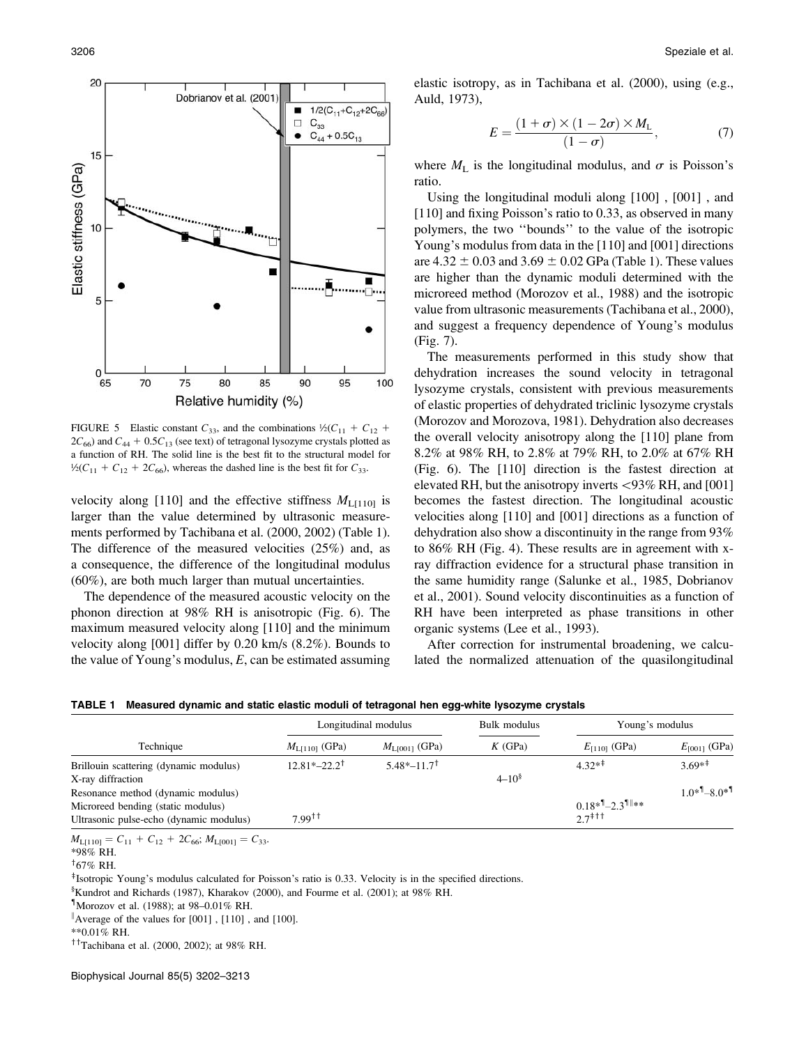

FIGURE 5 Elastic constant  $C_{33}$ , and the combinations  $\frac{1}{2}(C_{11} + C_{12} + C_{13})$  $2C_{66}$ ) and  $C_{44} + 0.5C_{13}$  (see text) of tetragonal lysozyme crystals plotted as a function of RH. The solid line is the best fit to the structural model for  $\frac{1}{2}(C_{11} + C_{12} + 2C_{66})$ , whereas the dashed line is the best fit for  $C_{33}$ .

velocity along [110] and the effective stiffness  $M_{\text{L}[110]}$  is larger than the value determined by ultrasonic measurements performed by Tachibana et al. (2000, 2002) (Table 1). The difference of the measured velocities (25%) and, as a consequence, the difference of the longitudinal modulus (60%), are both much larger than mutual uncertainties.

The dependence of the measured acoustic velocity on the phonon direction at 98% RH is anisotropic (Fig. 6). The maximum measured velocity along [110] and the minimum velocity along [001] differ by 0.20 km/s (8.2%). Bounds to the value of Young's modulus,  $E$ , can be estimated assuming

elastic isotropy, as in Tachibana et al. (2000), using (e.g., Auld, 1973),

$$
E = \frac{(1+\sigma) \times (1-2\sigma) \times M_{\rm L}}{(1-\sigma)},\tag{7}
$$

where  $M_{\rm L}$  is the longitudinal modulus, and  $\sigma$  is Poisson's ratio.

Using the longitudinal moduli along [100] , [001] , and [110] and fixing Poisson's ratio to 0.33, as observed in many polymers, the two ''bounds'' to the value of the isotropic Young's modulus from data in the [110] and [001] directions are  $4.32 \pm 0.03$  and  $3.69 \pm 0.02$  GPa (Table 1). These values are higher than the dynamic moduli determined with the microreed method (Morozov et al., 1988) and the isotropic value from ultrasonic measurements (Tachibana et al., 2000), and suggest a frequency dependence of Young's modulus (Fig. 7).

The measurements performed in this study show that dehydration increases the sound velocity in tetragonal lysozyme crystals, consistent with previous measurements of elastic properties of dehydrated triclinic lysozyme crystals (Morozov and Morozova, 1981). Dehydration also decreases the overall velocity anisotropy along the [110] plane from 8.2% at 98% RH, to 2.8% at 79% RH, to 2.0% at 67% RH (Fig. 6). The [110] direction is the fastest direction at elevated RH, but the anisotropy inverts  $\langle 93\% \text{ RH}$ , and [001] becomes the fastest direction. The longitudinal acoustic velocities along [110] and [001] directions as a function of dehydration also show a discontinuity in the range from 93% to 86% RH (Fig. 4). These results are in agreement with xray diffraction evidence for a structural phase transition in the same humidity range (Salunke et al., 1985, Dobrianov et al., 2001). Sound velocity discontinuities as a function of RH have been interpreted as phase transitions in other organic systems (Lee et al., 1993).

After correction for instrumental broadening, we calculated the normalized attenuation of the quasilongitudinal

|                                         | Longitudinal modulus                    |                           | Bulk modulus | Young's modulus                         |                       |
|-----------------------------------------|-----------------------------------------|---------------------------|--------------|-----------------------------------------|-----------------------|
| Technique                               | $ML[110]$ (GPa)                         | $M_{\text{LIO011}}$ (GPa) | $K$ (GPa)    | $E_{[110]}$ (GPa)                       | $E_{[001]}$ (GPa)     |
| Brillouin scattering (dynamic modulus)  | $12.81*-22.2$ <sup>†</sup>              | $5.48*-11.7$ <sup>†</sup> |              | $4.32**$ <sup>#</sup>                   | $3.69**^{\ddagger}$   |
| X-ray diffraction                       |                                         |                           | $4 - 10^{8}$ |                                         |                       |
| Resonance method (dynamic modulus)      |                                         |                           |              |                                         | $1.0*^{1} - 8.0*^{1}$ |
| Microreed bending (static modulus)      |                                         |                           |              | $0.18*^{9}$ – 2.3 <sup>1</sup> **       |                       |
| Ultrasonic pulse-echo (dynamic modulus) | $7.99$ <sup><math>\dagger</math>†</sup> |                           |              | $27$ <sup><math>\ddagger</math>††</sup> |                       |

TABLE 1 Measured dynamic and static elastic moduli of tetragonal hen egg-white lysozyme crystals

 $M_{\text{L}[110]} = C_{11} + C_{12} + 2C_{66}$ ;  $M_{\text{L}[001]} = C_{33}$ .

\*98% RH.

 $167\%$  RH.

<sup>‡</sup>Isotropic Young's modulus calculated for Poisson's ratio is 0.33. Velocity is in the specified directions.

§ Kundrot and Richards (1987), Kharakov (2000), and Fourme et al. (2001); at 98% RH.

{ Morozov et al. (1988); at 98–0.01% RH.

Average of the values for [001], [110], and [100].

\*\*0.01% RH.

 $<sup>†</sup>$ Tachibana et al. (2000, 2002); at 98% RH.</sup>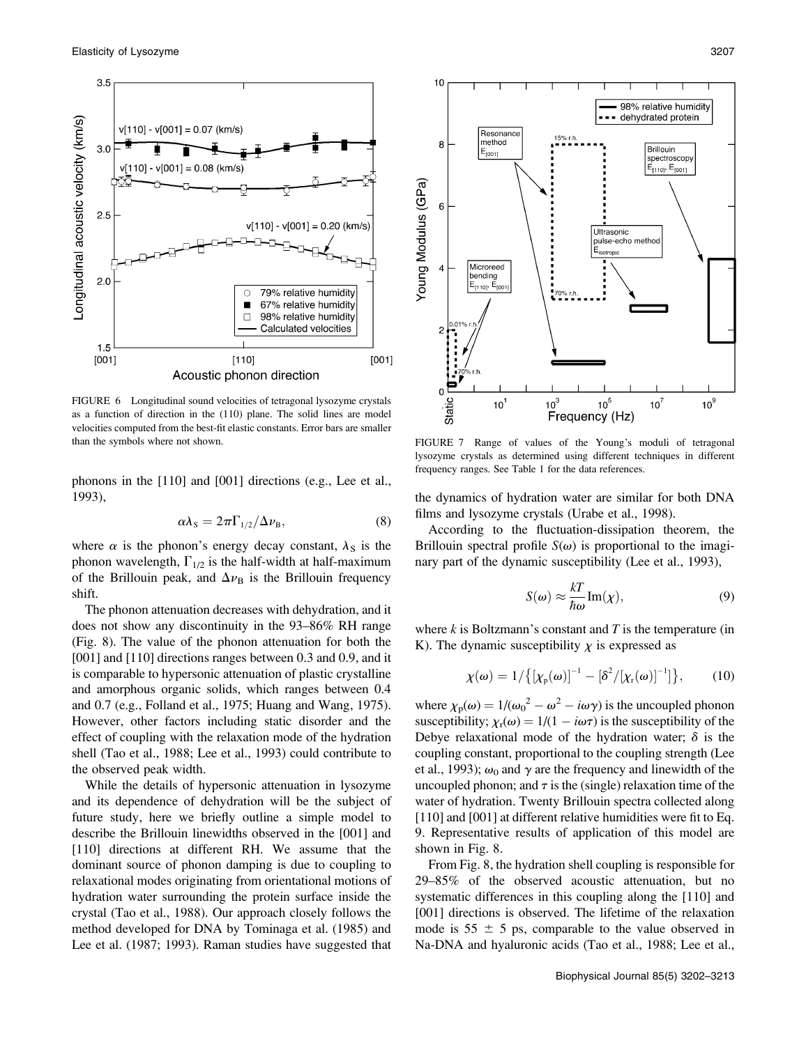

FIGURE 6 Longitudinal sound velocities of tetragonal lysozyme crystals as a function of direction in the (110) plane. The solid lines are model velocities computed from the best-fit elastic constants. Error bars are smaller than the symbols where not shown. FIGURE 7 Range of values of the Young's moduli of tetragonal

phonons in the [110] and [001] directions (e.g., Lee et al., 1993),

$$
\alpha \lambda_{\rm S} = 2\pi \Gamma_{1/2} / \Delta \nu_{\rm B},\tag{8}
$$

where  $\alpha$  is the phonon's energy decay constant,  $\lambda_{\rm S}$  is the phonon wavelength,  $\Gamma_{1/2}$  is the half-width at half-maximum of the Brillouin peak, and  $\Delta \nu_{\rm B}$  is the Brillouin frequency shift.

The phonon attenuation decreases with dehydration, and it does not show any discontinuity in the 93–86% RH range (Fig. 8). The value of the phonon attenuation for both the [001] and [110] directions ranges between 0.3 and 0.9, and it is comparable to hypersonic attenuation of plastic crystalline and amorphous organic solids, which ranges between 0.4 and 0.7 (e.g., Folland et al., 1975; Huang and Wang, 1975). However, other factors including static disorder and the effect of coupling with the relaxation mode of the hydration shell (Tao et al., 1988; Lee et al., 1993) could contribute to the observed peak width.

While the details of hypersonic attenuation in lysozyme and its dependence of dehydration will be the subject of future study, here we briefly outline a simple model to describe the Brillouin linewidths observed in the [001] and [110] directions at different RH. We assume that the dominant source of phonon damping is due to coupling to relaxational modes originating from orientational motions of hydration water surrounding the protein surface inside the crystal (Tao et al., 1988). Our approach closely follows the method developed for DNA by Tominaga et al. (1985) and Lee et al. (1987; 1993). Raman studies have suggested that



lysozyme crystals as determined using different techniques in different frequency ranges. See Table 1 for the data references.

the dynamics of hydration water are similar for both DNA films and lysozyme crystals (Urabe et al., 1998).

According to the fluctuation-dissipation theorem, the Brillouin spectral profile  $S(\omega)$  is proportional to the imaginary part of the dynamic susceptibility (Lee et al., 1993),

$$
S(\omega) \approx \frac{kT}{\hbar \omega} \text{Im}(\chi),\tag{9}
$$

where  $k$  is Boltzmann's constant and  $T$  is the temperature (in K). The dynamic susceptibility  $\chi$  is expressed as

$$
\chi(\omega) = 1 / \big\{ \big[ \chi_{\rm p}(\omega) \big]^{-1} - \big[ \delta^2 / [ \chi_{\rm r}(\omega) \big]^{-1} \big] \big\},\tag{10}
$$

where  $\chi_{\rm p}(\omega) = 1/(\omega_0^2 - \omega^2 - i\omega\gamma)$  is the uncoupled phonon susceptibility;  $\chi_{r}(\omega) = 1/(1 - i\omega\tau)$  is the susceptibility of the Debye relaxational mode of the hydration water;  $\delta$  is the coupling constant, proportional to the coupling strength (Lee et al., 1993);  $\omega_0$  and  $\gamma$  are the frequency and linewidth of the uncoupled phonon; and  $\tau$  is the (single) relaxation time of the water of hydration. Twenty Brillouin spectra collected along [110] and [001] at different relative humidities were fit to Eq. 9. Representative results of application of this model are shown in Fig. 8.

From Fig. 8, the hydration shell coupling is responsible for 29–85% of the observed acoustic attenuation, but no systematic differences in this coupling along the [110] and [001] directions is observed. The lifetime of the relaxation mode is  $55 \pm 5$  ps, comparable to the value observed in Na-DNA and hyaluronic acids (Tao et al., 1988; Lee et al.,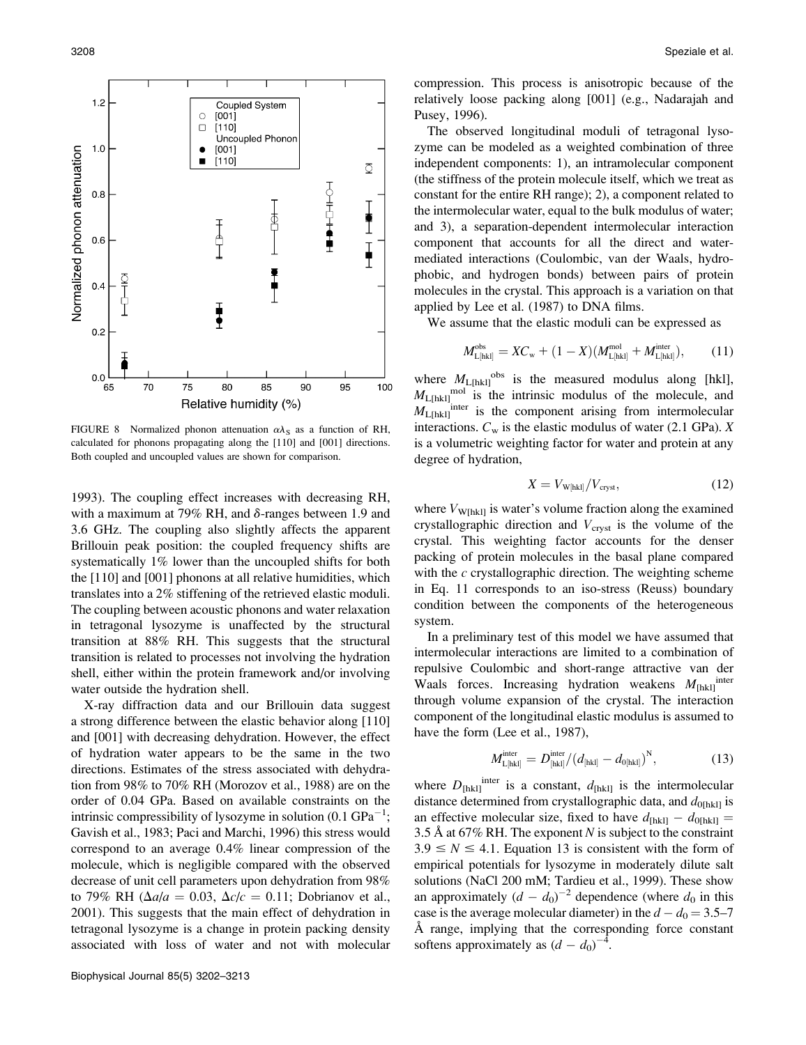

FIGURE 8 Normalized phonon attenuation  $\alpha \lambda_S$  as a function of RH, calculated for phonons propagating along the [110] and [001] directions. Both coupled and uncoupled values are shown for comparison.

1993). The coupling effect increases with decreasing RH, with a maximum at 79% RH, and  $\delta$ -ranges between 1.9 and 3.6 GHz. The coupling also slightly affects the apparent Brillouin peak position: the coupled frequency shifts are systematically 1% lower than the uncoupled shifts for both the [110] and [001] phonons at all relative humidities, which translates into a 2% stiffening of the retrieved elastic moduli. The coupling between acoustic phonons and water relaxation in tetragonal lysozyme is unaffected by the structural transition at 88% RH. This suggests that the structural transition is related to processes not involving the hydration shell, either within the protein framework and/or involving water outside the hydration shell.

X-ray diffraction data and our Brillouin data suggest a strong difference between the elastic behavior along [110] and [001] with decreasing dehydration. However, the effect of hydration water appears to be the same in the two directions. Estimates of the stress associated with dehydration from 98% to 70% RH (Morozov et al., 1988) are on the order of 0.04 GPa. Based on available constraints on the intrinsic compressibility of lysozyme in solution  $(0.1 \text{ GPa}^{-1})$ ; Gavish et al., 1983; Paci and Marchi, 1996) this stress would correspond to an average 0.4% linear compression of the molecule, which is negligible compared with the observed decrease of unit cell parameters upon dehydration from 98% to 79% RH ( $\Delta a/a = 0.03$ ,  $\Delta c/c = 0.11$ ; Dobrianov et al., 2001). This suggests that the main effect of dehydration in tetragonal lysozyme is a change in protein packing density associated with loss of water and not with molecular

compression. This process is anisotropic because of the relatively loose packing along [001] (e.g., Nadarajah and Pusey, 1996).

The observed longitudinal moduli of tetragonal lysozyme can be modeled as a weighted combination of three independent components: 1), an intramolecular component (the stiffness of the protein molecule itself, which we treat as constant for the entire RH range); 2), a component related to the intermolecular water, equal to the bulk modulus of water; and 3), a separation-dependent intermolecular interaction component that accounts for all the direct and watermediated interactions (Coulombic, van der Waals, hydrophobic, and hydrogen bonds) between pairs of protein molecules in the crystal. This approach is a variation on that applied by Lee et al. (1987) to DNA films.

We assume that the elastic moduli can be expressed as

$$
M_{\text{L[hkl]}}^{\text{obs}} = XC_{\text{w}} + (1 - X)(M_{\text{L[hkl]}}^{\text{mol}} + M_{\text{L[hkl]}}^{\text{inter}}), \quad (11)
$$

where  $M_{\text{L[hkl]}}^{\text{obs}}$  is the measured modulus along [hkl],  $M_{\text{L[hkl]}}^{\text{mol}}$  is the intrinsic modulus of the molecule, and  $M_{\text{L[hkl]}}$ <sup>inter</sup> is the component arising from intermolecular interactions.  $C_w$  is the elastic modulus of water (2.1 GPa). X is a volumetric weighting factor for water and protein at any degree of hydration,

$$
X = V_{\text{W[hkl]}} / V_{\text{cryst}},\tag{12}
$$

where  $V_{\text{W[hkl]}}$  is water's volume fraction along the examined crystallographic direction and  $V_{\text{cryst}}$  is the volume of the crystal. This weighting factor accounts for the denser packing of protein molecules in the basal plane compared with the  $c$  crystallographic direction. The weighting scheme in Eq. 11 corresponds to an iso-stress (Reuss) boundary condition between the components of the heterogeneous system.

In a preliminary test of this model we have assumed that intermolecular interactions are limited to a combination of repulsive Coulombic and short-range attractive van der Waals forces. Increasing hydration weakens  $M_{\text{[hk]}}$ <sup>inter</sup> through volume expansion of the crystal. The interaction component of the longitudinal elastic modulus is assumed to have the form (Lee et al., 1987),

$$
M_{\text{L[hkl]}}^{\text{inter}} = D_{\text{[hkl]}}^{\text{inter}} / (d_{\text{[hkl]}} - d_{\text{0[hkl]}})^{\text{N}}, \tag{13}
$$

where  $D_{\text{[hk]}}$  is a constant,  $d_{\text{[hk]}}$  is the intermolecular distance determined from crystallographic data, and  $d_{0[hkl]}$  is an effective molecular size, fixed to have  $d_{[hkl]} - d_{0[hkl]} =$ 3.5 Å at 67% RH. The exponent N is subject to the constraint  $3.9 \leq N \leq 4.1$ . Equation 13 is consistent with the form of empirical potentials for lysozyme in moderately dilute salt solutions (NaCl 200 mM; Tardieu et al., 1999). These show an approximately  $(d - d_0)^{-2}$  dependence (where  $d_0$  in this case is the average molecular diameter) in the  $d - d_0 = 3.5-7$ A range, implying that the corresponding force constant softens approximately as  $(d - d_0)^{-4}$ .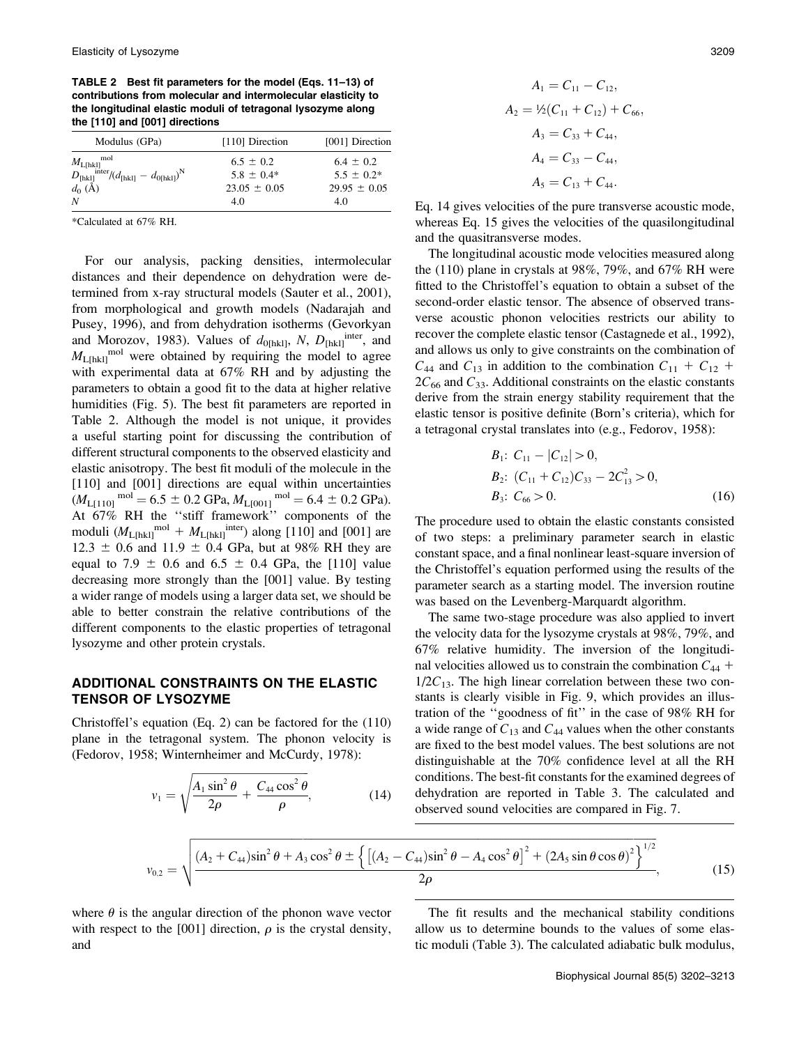TABLE 2 Best fit parameters for the model (Eqs. 11–13) of contributions from molecular and intermolecular elasticity to the longitudinal elastic moduli of tetragonal lysozyme along the [110] and [001] directions

| Modulus (GPa)                                                                                                                                  | [110] Direction                 | [001] Direction                  |
|------------------------------------------------------------------------------------------------------------------------------------------------|---------------------------------|----------------------------------|
| mol<br>$M_{\text{L[hk]}}^{\text{mol}}$<br>$D_{\text{[hk]}}^{\text{inter}}/(d_{\text{[hk]}} - d_{\text{0[hk]}})^{\text{N}}$<br>$d_0 (\text{Å})$ | $6.5 \pm 0.2$<br>$5.8 \pm 0.4*$ | $6.4 \pm 0.2$<br>$5.5 \pm 0.2^*$ |
|                                                                                                                                                | $23.05 \pm 0.05$                | $29.95 \pm 0.05$                 |
| N                                                                                                                                              | 4.0                             | 4.0                              |

\*Calculated at 67% RH.

For our analysis, packing densities, intermolecular distances and their dependence on dehydration were determined from x-ray structural models (Sauter et al., 2001), from morphological and growth models (Nadarajah and Pusey, 1996), and from dehydration isotherms (Gevorkyan and Morozov, 1983). Values of  $d_{0[\text{hkl}]}, N, D_{[\text{hkl}]}$  inter, and  $M_{\text{L[hkl]}}$ <sup>mol</sup> were obtained by requiring the model to agree with experimental data at 67% RH and by adjusting the parameters to obtain a good fit to the data at higher relative humidities (Fig. 5). The best fit parameters are reported in Table 2. Although the model is not unique, it provides a useful starting point for discussing the contribution of different structural components to the observed elasticity and elastic anisotropy. The best fit moduli of the molecule in the [110] and [001] directions are equal within uncertainties  $(M_{\text{L}[110]}^{\text{mol}} = 6.5 \pm 0.2 \text{ GPa}, M_{\text{L}[001]}^{\text{mol}} = 6.4 \pm 0.2 \text{ GPa}.$ At 67% RH the ''stiff framework'' components of the moduli  $(M_{L[hk]})^{mol} + M_{L[hk]})^{inter}$  along [110] and [001] are  $12.3 \pm 0.6$  and  $11.9 \pm 0.4$  GPa, but at 98% RH they are equal to 7.9  $\pm$  0.6 and 6.5  $\pm$  0.4 GPa, the [110] value decreasing more strongly than the [001] value. By testing a wider range of models using a larger data set, we should be able to better constrain the relative contributions of the different components to the elastic properties of tetragonal lysozyme and other protein crystals.

## ADDITIONAL CONSTRAINTS ON THE ELASTIC TENSOR OF LYSOZYME

Christoffel's equation (Eq. 2) can be factored for the (110) plane in the tetragonal system. The phonon velocity is (Fedorov, 1958; Winternheimer and McCurdy, 1978):

$$
v_1 = \sqrt{\frac{A_1 \sin^2 \theta}{2\rho} + \frac{C_{44} \cos^2 \theta}{\rho}},
$$
 (14)

$$
A_1 = C_{11} - C_{12},
$$
  
\n
$$
A_2 = \frac{1}{2}(C_{11} + C_{12}) + C_{66},
$$
  
\n
$$
A_3 = C_{33} + C_{44},
$$
  
\n
$$
A_4 = C_{33} - C_{44},
$$
  
\n
$$
A_5 = C_{13} + C_{44}.
$$

Eq. 14 gives velocities of the pure transverse acoustic mode, whereas Eq. 15 gives the velocities of the quasilongitudinal and the quasitransverse modes.

The longitudinal acoustic mode velocities measured along the (110) plane in crystals at 98%, 79%, and 67% RH were fitted to the Christoffel's equation to obtain a subset of the second-order elastic tensor. The absence of observed transverse acoustic phonon velocities restricts our ability to recover the complete elastic tensor (Castagnede et al., 1992), and allows us only to give constraints on the combination of  $C_{44}$  and  $C_{13}$  in addition to the combination  $C_{11} + C_{12}$  +  $2C_{66}$  and  $C_{33}$ . Additional constraints on the elastic constants derive from the strain energy stability requirement that the elastic tensor is positive definite (Born's criteria), which for a tetragonal crystal translates into (e.g., Fedorov, 1958):

$$
B_1: C_{11} - |C_{12}| > 0,
$$
  
\n
$$
B_2: (C_{11} + C_{12})C_{33} - 2C_{13}^2 > 0,
$$
  
\n
$$
B_3: C_{66} > 0.
$$
 (16)

The procedure used to obtain the elastic constants consisted of two steps: a preliminary parameter search in elastic constant space, and a final nonlinear least-square inversion of the Christoffel's equation performed using the results of the parameter search as a starting model. The inversion routine was based on the Levenberg-Marquardt algorithm.

The same two-stage procedure was also applied to invert the velocity data for the lysozyme crystals at 98%, 79%, and 67% relative humidity. The inversion of the longitudinal velocities allowed us to constrain the combination  $C_{44}$  +  $1/2C_{13}$ . The high linear correlation between these two constants is clearly visible in Fig. 9, which provides an illustration of the ''goodness of fit'' in the case of 98% RH for a wide range of  $C_{13}$  and  $C_{44}$  values when the other constants are fixed to the best model values. The best solutions are not distinguishable at the 70% confidence level at all the RH conditions. The best-fit constants for the examined degrees of dehydration are reported in Table 3. The calculated and observed sound velocities are compared in Fig. 7.

$$
v_{0,2} = \sqrt{\frac{\left(A_2 + C_{44}\right)\sin^2\theta + A_3\cos^2\theta \pm \left\{\left[\left(A_2 - C_{44}\right)\sin^2\theta - A_4\cos^2\theta\right]^2 + \left(2A_5\sin\theta\cos\theta\right)^2\right\}^{1/2}}{2\rho}},\tag{15}
$$

where  $\theta$  is the angular direction of the phonon wave vector with respect to the [001] direction,  $\rho$  is the crystal density, and

The fit results and the mechanical stability conditions allow us to determine bounds to the values of some elastic moduli (Table 3). The calculated adiabatic bulk modulus,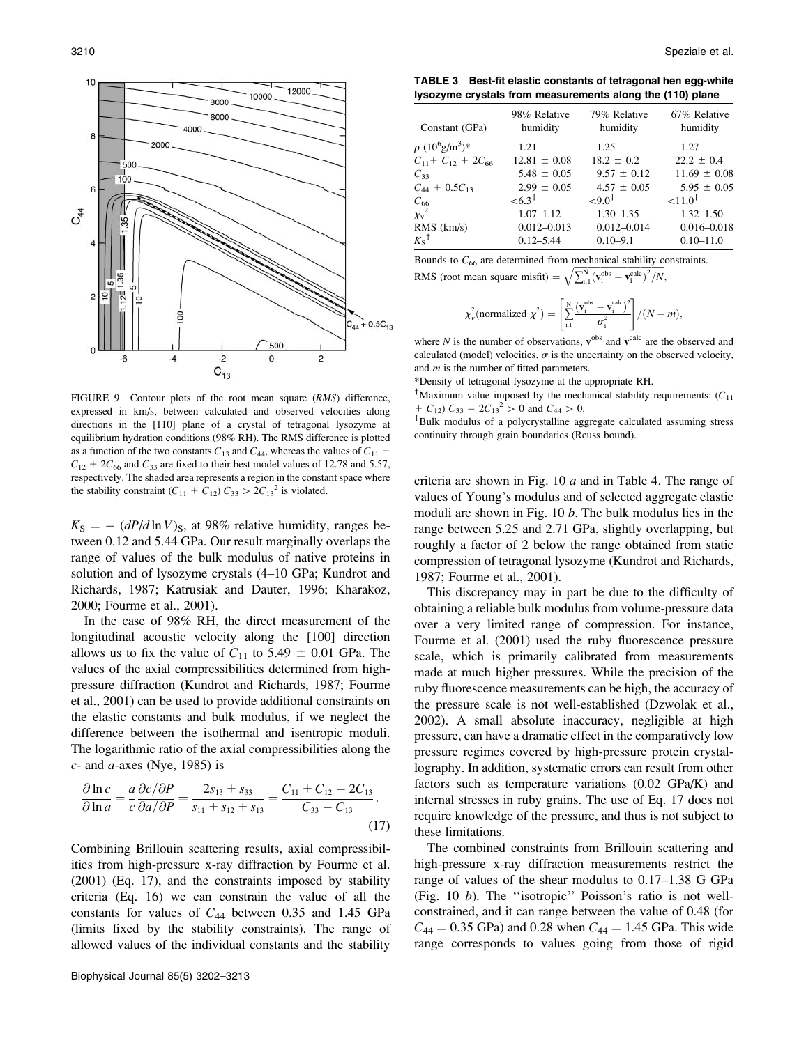![](_page_8_Figure_1.jpeg)

FIGURE 9 Contour plots of the root mean square (RMS) difference, expressed in km/s, between calculated and observed velocities along directions in the [110] plane of a crystal of tetragonal lysozyme at equilibrium hydration conditions (98% RH). The RMS difference is plotted as a function of the two constants  $C_{13}$  and  $C_{44}$ , whereas the values of  $C_{11}$  +  $C_{12}$  + 2C<sub>66</sub> and C<sub>33</sub> are fixed to their best model values of 12.78 and 5.57, respectively. The shaded area represents a region in the constant space where the stability constraint  $(C_{11} + C_{12}) C_{33} > 2C_{13}^2$  is violated.

 $K<sub>S</sub> = - (dP/d \ln V)<sub>S</sub>$ , at 98% relative humidity, ranges between 0.12 and 5.44 GPa. Our result marginally overlaps the range of values of the bulk modulus of native proteins in solution and of lysozyme crystals (4–10 GPa; Kundrot and Richards, 1987; Katrusiak and Dauter, 1996; Kharakoz, 2000; Fourme et al., 2001).

In the case of 98% RH, the direct measurement of the longitudinal acoustic velocity along the [100] direction allows us to fix the value of  $C_{11}$  to 5.49  $\pm$  0.01 GPa. The values of the axial compressibilities determined from highpressure diffraction (Kundrot and Richards, 1987; Fourme et al., 2001) can be used to provide additional constraints on the elastic constants and bulk modulus, if we neglect the difference between the isothermal and isentropic moduli. The logarithmic ratio of the axial compressibilities along the  $c$ - and  $a$ -axes (Nye, 1985) is

$$
\frac{\partial \ln c}{\partial \ln a} = \frac{a}{c} \frac{\partial c}{\partial a / \partial P} = \frac{2s_{13} + s_{33}}{s_{11} + s_{12} + s_{13}} = \frac{C_{11} + C_{12} - 2C_{13}}{C_{33} - C_{13}}.
$$
\n(17)

Combining Brillouin scattering results, axial compressibilities from high-pressure x-ray diffraction by Fourme et al. (2001) (Eq. 17), and the constraints imposed by stability criteria (Eq. 16) we can constrain the value of all the constants for values of  $C_{44}$  between 0.35 and 1.45 GPa (limits fixed by the stability constraints). The range of allowed values of the individual constants and the stability

TABLE 3 Best-fit elastic constants of tetragonal hen egg-white lysozyme crystals from measurements along the (110) plane

| Constant (GPa)                   | 98% Relative<br>humidity | 79% Relative<br>humidity | 67% Relative<br>humidity |
|----------------------------------|--------------------------|--------------------------|--------------------------|
| $\rho (10^6 \text{g/m}^3)^*$     | 1.21                     | 1.25                     | 1.27                     |
| $C_{11}$ + $C_{12}$ + 2 $C_{66}$ | $12.81 \pm 0.08$         | $18.2 \pm 0.2$           | $22.2 \pm 0.4$           |
| $C_{33}$                         | $5.48 \pm 0.05$          | $9.57 \pm 0.12$          | $11.69 \pm 0.08$         |
| $C_{44} + 0.5C_{13}$             | $2.99 \pm 0.05$          | $4.57 \pm 0.05$          | $5.95 \pm 0.05$          |
|                                  | ${<}6.3^{\dagger}$       | ${<}9.0^{\dagger}$       | ${<}11.0$ <sup>†</sup>   |
| $\frac{C_{66}}{\chi_{\rm v}^2}$  | $1.07 - 1.12$            | $1.30 - 1.35$            | $1.32 - 1.50$            |
| RMS (km/s)                       | $0.012 - 0.013$          | $0.012 - 0.014$          | $0.016 - 0.018$          |
| $K_S^{\dagger}$                  | $0.12 - 5.44$            | $0.10 - 9.1$             | $0.10 - 11.0$            |

Bounds to  $C_{66}$  are determined from mechanical stability constraints. RMS (root mean square misfit) =  $\sqrt{\sum_{i=1}^{N} (v_i^{obs} - v_i^{calc})^2 / N}$ ,

$$
\chi^2_{\nu}(\text{normalized }\chi^2) = \left[\sum_{i,1}^{N} \frac{(\mathbf{v}_i^{\text{obs}} - \mathbf{v}_i^{\text{calc}})^2}{\sigma_i^2}\right] / (N - m),
$$

where N is the number of observations,  $v^{obs}$  and  $v^{calc}$  are the observed and calculated (model) velocities,  $\sigma$  is the uncertainty on the observed velocity, and  $m$  is the number of fitted parameters.

\*Density of tetragonal lysozyme at the appropriate RH.

<sup>†</sup>Maximum value imposed by the mechanical stability requirements:  $(C_{11})$ +  $C_{12}$ )  $C_{33}$  –  $2C_{13}^{2}$  > 0 and  $C_{44}$  > 0.

z Bulk modulus of a polycrystalline aggregate calculated assuming stress continuity through grain boundaries (Reuss bound).

criteria are shown in Fig.  $10 a$  and in Table 4. The range of values of Young's modulus and of selected aggregate elastic moduli are shown in Fig.  $10 b$ . The bulk modulus lies in the range between 5.25 and 2.71 GPa, slightly overlapping, but roughly a factor of 2 below the range obtained from static compression of tetragonal lysozyme (Kundrot and Richards, 1987; Fourme et al., 2001).

This discrepancy may in part be due to the difficulty of obtaining a reliable bulk modulus from volume-pressure data over a very limited range of compression. For instance, Fourme et al. (2001) used the ruby fluorescence pressure scale, which is primarily calibrated from measurements made at much higher pressures. While the precision of the ruby fluorescence measurements can be high, the accuracy of the pressure scale is not well-established (Dzwolak et al., 2002). A small absolute inaccuracy, negligible at high pressure, can have a dramatic effect in the comparatively low pressure regimes covered by high-pressure protein crystallography. In addition, systematic errors can result from other factors such as temperature variations (0.02 GPa/K) and internal stresses in ruby grains. The use of Eq. 17 does not require knowledge of the pressure, and thus is not subject to these limitations.

The combined constraints from Brillouin scattering and high-pressure x-ray diffraction measurements restrict the range of values of the shear modulus to 0.17–1.38 G GPa (Fig. 10 b). The ''isotropic'' Poisson's ratio is not wellconstrained, and it can range between the value of 0.48 (for  $C_{44} = 0.35$  GPa) and 0.28 when  $C_{44} = 1.45$  GPa. This wide range corresponds to values going from those of rigid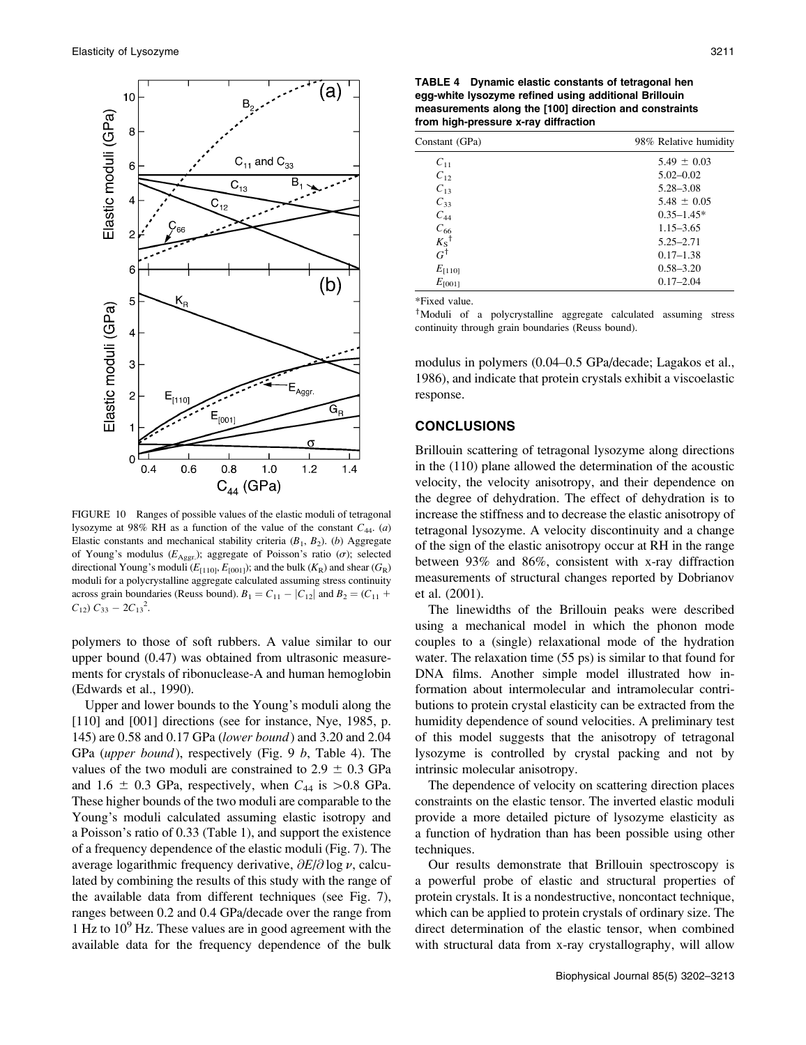![](_page_9_Figure_1.jpeg)

FIGURE 10 Ranges of possible values of the elastic moduli of tetragonal lysozyme at 98% RH as a function of the value of the constant  $C_{44}$ . (a) Elastic constants and mechanical stability criteria  $(B_1, B_2)$ . (b) Aggregate of Young's modulus ( $E_{\text{Aggr.}}$ ); aggregate of Poisson's ratio ( $\sigma$ ); selected directional Young's moduli ( $E_{[110]}$ ,  $E_{[001]}$ ); and the bulk ( $K_R$ ) and shear ( $G_R$ ) moduli for a polycrystalline aggregate calculated assuming stress continuity across grain boundaries (Reuss bound).  $B_1 = C_{11} - |C_{12}|$  and  $B_2 = (C_{11} + C_{12})$  $C_{12}$ )  $C_{33} - 2C_{13}^2$ .

polymers to those of soft rubbers. A value similar to our upper bound (0.47) was obtained from ultrasonic measurements for crystals of ribonuclease-A and human hemoglobin (Edwards et al., 1990).

Upper and lower bounds to the Young's moduli along the [110] and [001] directions (see for instance, Nye, 1985, p. 145) are 0.58 and 0.17 GPa (lower bound) and 3.20 and 2.04 GPa (upper bound), respectively (Fig. 9 b, Table 4). The values of the two moduli are constrained to  $2.9 \pm 0.3$  GPa and 1.6  $\pm$  0.3 GPa, respectively, when  $C_{44}$  is  $> 0.8$  GPa. These higher bounds of the two moduli are comparable to the Young's moduli calculated assuming elastic isotropy and a Poisson's ratio of 0.33 (Table 1), and support the existence of a frequency dependence of the elastic moduli (Fig. 7). The average logarithmic frequency derivative,  $\partial E/\partial \log \nu$ , calculated by combining the results of this study with the range of the available data from different techniques (see Fig. 7), ranges between 0.2 and 0.4 GPa/decade over the range from 1 Hz to  $10^9$  Hz. These values are in good agreement with the available data for the frequency dependence of the bulk

TABLE 4 Dynamic elastic constants of tetragonal hen egg-white lysozyme refined using additional Brillouin measurements along the [100] direction and constraints from high-pressure x-ray diffraction

| Constant (GPa)            | 98% Relative humidity |  |
|---------------------------|-----------------------|--|
| $C_{11}$                  | $5.49 \pm 0.03$       |  |
| $C_{12}$                  | $5.02 - 0.02$         |  |
| $C_{13}$                  | $5.28 - 3.08$         |  |
| $C_{33}$                  | $5.48 \pm 0.05$       |  |
| $C_{44}$                  | $0.35 - 1.45*$        |  |
| $C_{66}$                  | $1.15 - 3.65$         |  |
| $\frac{K_S}{G}^{\dagger}$ | $5.25 - 2.71$         |  |
|                           | $0.17 - 1.38$         |  |
| $E_{[110]}$               | $0.58 - 3.20$         |  |
| $E_{[001]}$               | $0.17 - 2.04$         |  |

\*Fixed value.

<sup>†</sup>Moduli of a polycrystalline aggregate calculated assuming stress continuity through grain boundaries (Reuss bound).

modulus in polymers (0.04–0.5 GPa/decade; Lagakos et al., 1986), and indicate that protein crystals exhibit a viscoelastic response.

#### CONCLUSIONS

Brillouin scattering of tetragonal lysozyme along directions in the (110) plane allowed the determination of the acoustic velocity, the velocity anisotropy, and their dependence on the degree of dehydration. The effect of dehydration is to increase the stiffness and to decrease the elastic anisotropy of tetragonal lysozyme. A velocity discontinuity and a change of the sign of the elastic anisotropy occur at RH in the range between 93% and 86%, consistent with x-ray diffraction measurements of structural changes reported by Dobrianov et al. (2001).

The linewidths of the Brillouin peaks were described using a mechanical model in which the phonon mode couples to a (single) relaxational mode of the hydration water. The relaxation time (55 ps) is similar to that found for DNA films. Another simple model illustrated how information about intermolecular and intramolecular contributions to protein crystal elasticity can be extracted from the humidity dependence of sound velocities. A preliminary test of this model suggests that the anisotropy of tetragonal lysozyme is controlled by crystal packing and not by intrinsic molecular anisotropy.

The dependence of velocity on scattering direction places constraints on the elastic tensor. The inverted elastic moduli provide a more detailed picture of lysozyme elasticity as a function of hydration than has been possible using other techniques.

Our results demonstrate that Brillouin spectroscopy is a powerful probe of elastic and structural properties of protein crystals. It is a nondestructive, noncontact technique, which can be applied to protein crystals of ordinary size. The direct determination of the elastic tensor, when combined with structural data from x-ray crystallography, will allow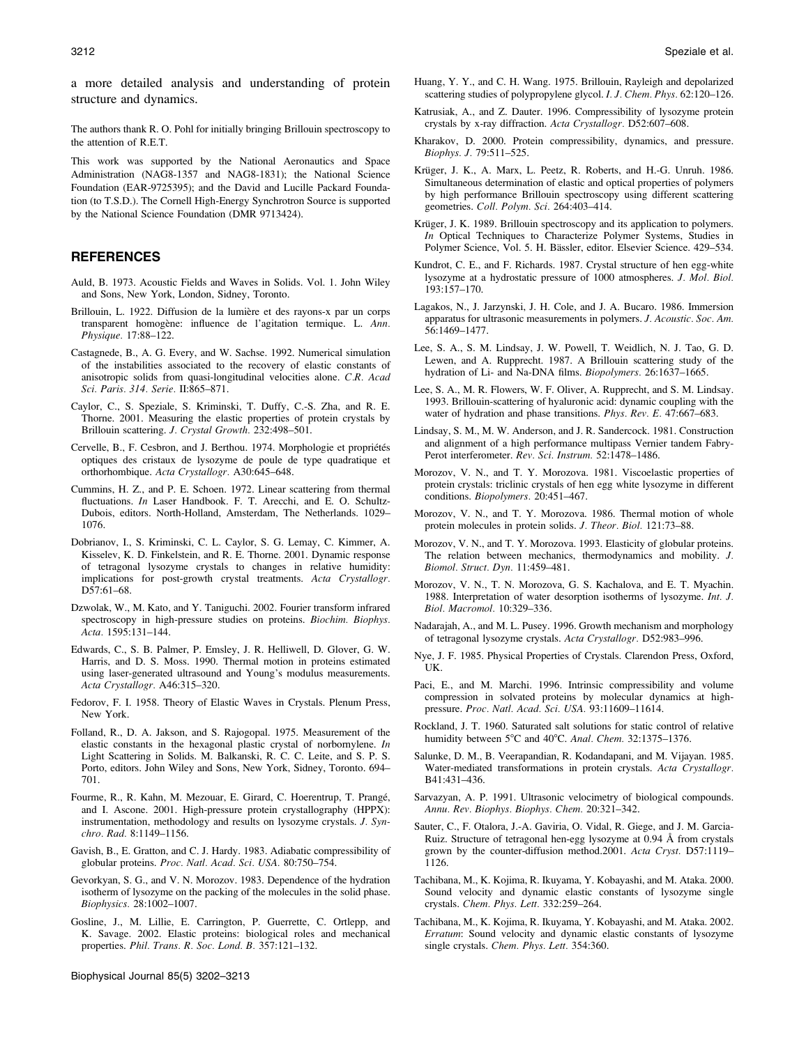a more detailed analysis and understanding of protein structure and dynamics.

The authors thank R. O. Pohl for initially bringing Brillouin spectroscopy to the attention of R.E.T.

This work was supported by the National Aeronautics and Space Administration (NAG8-1357 and NAG8-1831); the National Science Foundation (EAR-9725395); and the David and Lucille Packard Foundation (to T.S.D.). The Cornell High-Energy Synchrotron Source is supported by the National Science Foundation (DMR 9713424).

#### REFERENCES

- Auld, B. 1973. Acoustic Fields and Waves in Solids. Vol. 1. John Wiley and Sons, New York, London, Sidney, Toronto.
- Brillouin, L. 1922. Diffusion de la lumière et des rayons-x par un corps transparent homogène: influence de l'agitation termique. L. Ann. Physique. 17:88–122.
- Castagnede, B., A. G. Every, and W. Sachse. 1992. Numerical simulation of the instabilities associated to the recovery of elastic constants of anisotropic solids from quasi-longitudinal velocities alone. C.R. Acad Sci. Paris. 314. Serie. II:865–871.
- Caylor, C., S. Speziale, S. Kriminski, T. Duffy, C.-S. Zha, and R. E. Thorne. 2001. Measuring the elastic properties of protein crystals by Brillouin scattering. J. Crystal Growth. 232:498–501.
- Cervelle, B., F. Cesbron, and J. Berthou. 1974. Morphologie et propriétés optiques des cristaux de lysozyme de poule de type quadratique et orthorhombique. Acta Crystallogr. A30:645–648.
- Cummins, H. Z., and P. E. Schoen. 1972. Linear scattering from thermal fluctuations. In Laser Handbook. F. T. Arecchi, and E. O. Schultz-Dubois, editors. North-Holland, Amsterdam, The Netherlands. 1029– 1076.
- Dobrianov, I., S. Kriminski, C. L. Caylor, S. G. Lemay, C. Kimmer, A. Kisselev, K. D. Finkelstein, and R. E. Thorne. 2001. Dynamic response of tetragonal lysozyme crystals to changes in relative humidity: implications for post-growth crystal treatments. Acta Crystallogr. D57:61–68.
- Dzwolak, W., M. Kato, and Y. Taniguchi. 2002. Fourier transform infrared spectroscopy in high-pressure studies on proteins. Biochim. Biophys. Acta. 1595:131–144.
- Edwards, C., S. B. Palmer, P. Emsley, J. R. Helliwell, D. Glover, G. W. Harris, and D. S. Moss. 1990. Thermal motion in proteins estimated using laser-generated ultrasound and Young's modulus measurements. Acta Crystallogr. A46:315–320.
- Fedorov, F. I. 1958. Theory of Elastic Waves in Crystals. Plenum Press, New York.
- Folland, R., D. A. Jakson, and S. Rajogopal. 1975. Measurement of the elastic constants in the hexagonal plastic crystal of norbornylene. In Light Scattering in Solids. M. Balkanski, R. C. C. Leite, and S. P. S. Porto, editors. John Wiley and Sons, New York, Sidney, Toronto. 694– 701.
- Fourme, R., R. Kahn, M. Mezouar, E. Girard, C. Hoerentrup, T. Prangé, and I. Ascone. 2001. High-pressure protein crystallography (HPPX): instrumentation, methodology and results on lysozyme crystals. J. Synchro. Rad. 8:1149–1156.
- Gavish, B., E. Gratton, and C. J. Hardy. 1983. Adiabatic compressibility of globular proteins. Proc. Natl. Acad. Sci. USA. 80:750–754.
- Gevorkyan, S. G., and V. N. Morozov. 1983. Dependence of the hydration isotherm of lysozyme on the packing of the molecules in the solid phase. Biophysics. 28:1002–1007.
- Gosline, J., M. Lillie, E. Carrington, P. Guerrette, C. Ortlepp, and K. Savage. 2002. Elastic proteins: biological roles and mechanical properties. Phil. Trans. R. Soc. Lond. B. 357:121–132.

Biophysical Journal 85(5) 3202–3213

- Huang, Y. Y., and C. H. Wang. 1975. Brillouin, Rayleigh and depolarized scattering studies of polypropylene glycol. I. J. Chem. Phys. 62:120–126.
- Katrusiak, A., and Z. Dauter. 1996. Compressibility of lysozyme protein crystals by x-ray diffraction. Acta Crystallogr. D52:607–608.
- Kharakov, D. 2000. Protein compressibility, dynamics, and pressure. Biophys. J. 79:511–525.
- Krüger, J. K., A. Marx, L. Peetz, R. Roberts, and H.-G. Unruh. 1986. Simultaneous determination of elastic and optical properties of polymers by high performance Brillouin spectroscopy using different scattering geometries. Coll. Polym. Sci. 264:403–414.
- Krüger, J. K. 1989. Brillouin spectroscopy and its application to polymers. In Optical Techniques to Characterize Polymer Systems, Studies in Polymer Science, Vol. 5. H. Bässler, editor. Elsevier Science. 429–534.
- Kundrot, C. E., and F. Richards. 1987. Crystal structure of hen egg-white lysozyme at a hydrostatic pressure of 1000 atmospheres. J. Mol. Biol. 193:157–170.
- Lagakos, N., J. Jarzynski, J. H. Cole, and J. A. Bucaro. 1986. Immersion apparatus for ultrasonic measurements in polymers. J. Acoustic. Soc. Am. 56:1469–1477.
- Lee, S. A., S. M. Lindsay, J. W. Powell, T. Weidlich, N. J. Tao, G. D. Lewen, and A. Rupprecht. 1987. A Brillouin scattering study of the hydration of Li- and Na-DNA films. Biopolymers. 26:1637–1665.
- Lee, S. A., M. R. Flowers, W. F. Oliver, A. Rupprecht, and S. M. Lindsay. 1993. Brillouin-scattering of hyaluronic acid: dynamic coupling with the water of hydration and phase transitions. Phys. Rev. E. 47:667–683.
- Lindsay, S. M., M. W. Anderson, and J. R. Sandercock. 1981. Construction and alignment of a high performance multipass Vernier tandem Fabry-Perot interferometer. Rev. Sci. Instrum. 52:1478–1486.
- Morozov, V. N., and T. Y. Morozova. 1981. Viscoelastic properties of protein crystals: triclinic crystals of hen egg white lysozyme in different conditions. Biopolymers. 20:451–467.
- Morozov, V. N., and T. Y. Morozova. 1986. Thermal motion of whole protein molecules in protein solids. J. Theor. Biol. 121:73–88.
- Morozov, V. N., and T. Y. Morozova. 1993. Elasticity of globular proteins. The relation between mechanics, thermodynamics and mobility. J. Biomol. Struct. Dyn. 11:459–481.
- Morozov, V. N., T. N. Morozova, G. S. Kachalova, and E. T. Myachin. 1988. Interpretation of water desorption isotherms of lysozyme. Int. J. Biol. Macromol. 10:329–336.
- Nadarajah, A., and M. L. Pusey. 1996. Growth mechanism and morphology of tetragonal lysozyme crystals. Acta Crystallogr. D52:983–996.
- Nye, J. F. 1985. Physical Properties of Crystals. Clarendon Press, Oxford, UK.
- Paci, E., and M. Marchi. 1996. Intrinsic compressibility and volume compression in solvated proteins by molecular dynamics at highpressure. Proc. Natl. Acad. Sci. USA. 93:11609–11614.
- Rockland, J. T. 1960. Saturated salt solutions for static control of relative humidity between 5°C and 40°C. Anal. Chem. 32:1375–1376.
- Salunke, D. M., B. Veerapandian, R. Kodandapani, and M. Vijayan. 1985. Water-mediated transformations in protein crystals. Acta Crystallogr. B41:431–436.
- Sarvazyan, A. P. 1991. Ultrasonic velocimetry of biological compounds. Annu. Rev. Biophys. Biophys. Chem. 20:321–342.
- Sauter, C., F. Otalora, J.-A. Gaviria, O. Vidal, R. Giege, and J. M. Garcia-Ruiz. Structure of tetragonal hen-egg lysozyme at 0.94 Å from crystals grown by the counter-diffusion method.2001. Acta Cryst. D57:1119– 1126.
- Tachibana, M., K. Kojima, R. Ikuyama, Y. Kobayashi, and M. Ataka. 2000. Sound velocity and dynamic elastic constants of lysozyme single crystals. Chem. Phys. Lett. 332:259–264.
- Tachibana, M., K. Kojima, R. Ikuyama, Y. Kobayashi, and M. Ataka. 2002. Erratum: Sound velocity and dynamic elastic constants of lysozyme single crystals. Chem. Phys. Lett. 354:360.